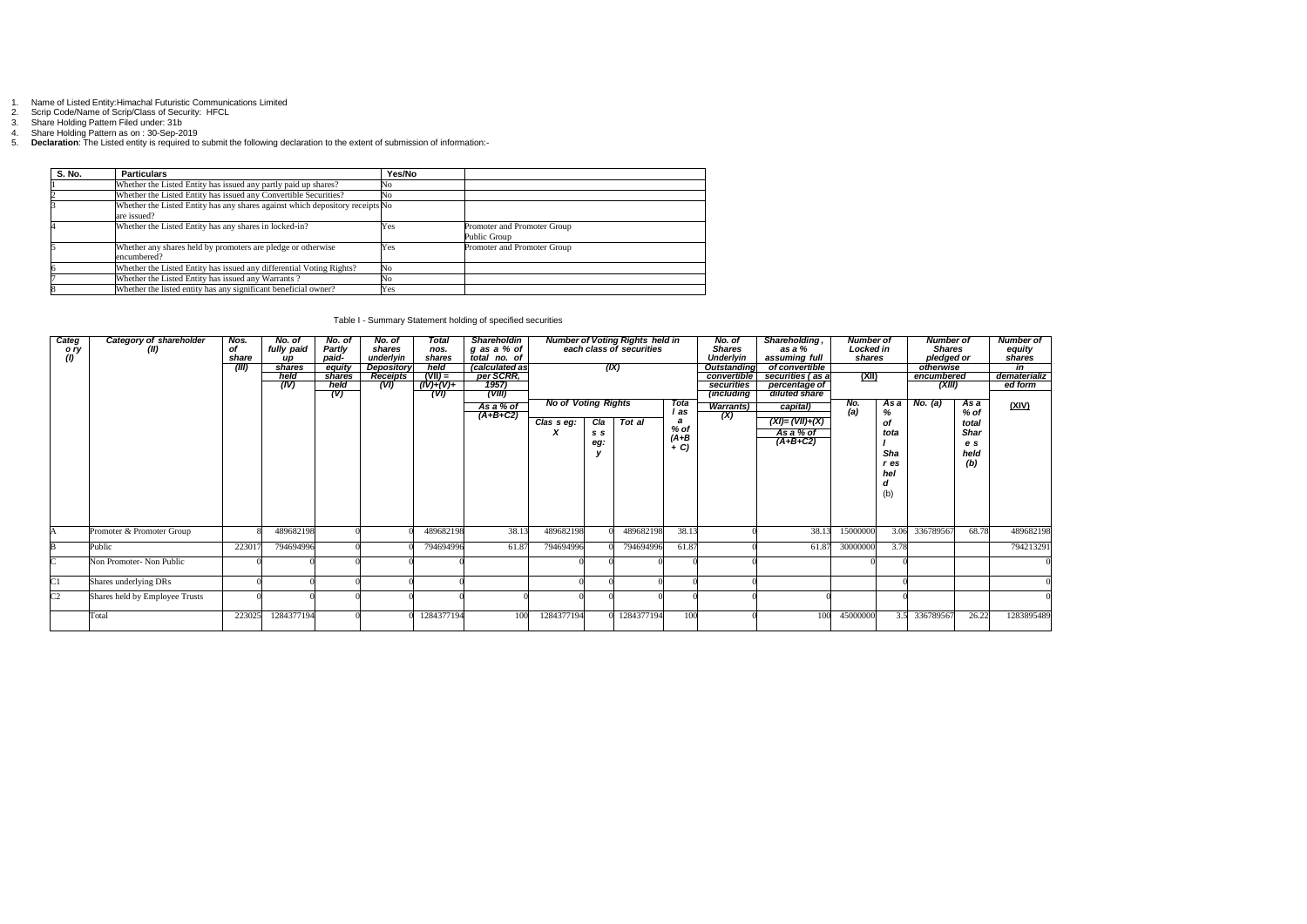- 1. Name of Listed Entity:Himachal Futuristic Communications Limited
- 2. Scrip Code/Name of Scrip/Class of Security: HFCL

3. Share Holding Pattern Filed under: 31b

4. Share Holding Pattern as on : 30-Sep-2019

5. **Declaration**: The Listed entity is required to submit the following declaration to the extent of submission of information:-

| S. No. | <b>Particulars</b>                                                                           | Yes/No |                                             |
|--------|----------------------------------------------------------------------------------------------|--------|---------------------------------------------|
|        | Whether the Listed Entity has issued any partly paid up shares?                              | No     |                                             |
|        | Whether the Listed Entity has issued any Convertible Securities?                             | No     |                                             |
|        | Whether the Listed Entity has any shares against which depository receipts No<br>are issued? |        |                                             |
|        | Whether the Listed Entity has any shares in locked-in?                                       | Yes    | Promoter and Promoter Group<br>Public Group |
|        | Whether any shares held by promoters are pledge or otherwise<br>encumbered?                  | Yes    | Promoter and Promoter Group                 |
|        | Whether the Listed Entity has issued any differential Voting Rights?                         | No     |                                             |
|        | Whether the Listed Entity has issued any Warrants?                                           | No     |                                             |
|        | Whether the listed entity has any significant beneficial owner?                              | Yes    |                                             |

| Table I - Summary Statement holding of specified securities |
|-------------------------------------------------------------|
|-------------------------------------------------------------|

| Categ<br>(1)   | Category of shareholder<br>(II)<br>o ry | Nos.<br>of<br>share | No. of<br>fully paid<br>иp | No. of<br><b>Partly</b><br>paid- | No. of<br>shares<br>underlyin | Total<br>nos.<br>shares | <b>Shareholdin</b><br>g as a % of<br>total no. of | <b>Number of Voting Rights held in<br/>each class of securities</b> |     |            | No. of<br><b>Shares</b><br><b>Underlyin</b> | Shareholding,<br>as a %<br>assuming full | <b>Number of</b><br>Locked in<br>shares |                   | <b>Number of</b><br><b>Shares</b><br>pledged or |            | <b>Number of</b><br>equity<br>shares |              |
|----------------|-----------------------------------------|---------------------|----------------------------|----------------------------------|-------------------------------|-------------------------|---------------------------------------------------|---------------------------------------------------------------------|-----|------------|---------------------------------------------|------------------------------------------|-----------------------------------------|-------------------|-------------------------------------------------|------------|--------------------------------------|--------------|
|                |                                         | (III)               | shares                     | equity                           | Depository                    | held                    | <i>(calculated as</i>                             |                                                                     |     | (IX)       |                                             | <b>Outstanding</b>                       | of convertible                          |                   |                                                 | otherwise  |                                      | in           |
|                |                                         |                     | held                       | shares                           | Receipts                      | $(VII) =$               | per SCRR,                                         |                                                                     |     |            |                                             | convertible                              | securities (as a                        | <u>(XII)</u>      |                                                 | encumbered |                                      | dematerializ |
|                |                                         |                     | (IV)                       | held                             | (VI)                          | $(IV)+(V)+$             | 1957)                                             |                                                                     |     |            |                                             | securities                               | percentage of                           |                   |                                                 | (XIII)     |                                      | ed form      |
|                |                                         |                     |                            | (V)                              |                               | (VI)                    | (VIII)                                            |                                                                     |     |            |                                             | <i>(including</i>                        | diluted share                           |                   |                                                 |            |                                      |              |
|                |                                         |                     |                            |                                  |                               |                         | As a % of                                         | <b>No of Voting Rights</b>                                          |     |            | Tota                                        | <b>Warrants</b> )                        | capital)                                |                   | As a                                            | No. $(a)$  | As a                                 | (XIV)        |
|                |                                         |                     |                            |                                  |                               |                         | $(A+B+C2)$                                        |                                                                     |     |            | l as                                        |                                          |                                         | $\frac{N_0}{(a)}$ | %                                               |            | % of                                 |              |
|                |                                         |                     |                            |                                  |                               |                         |                                                   | $\overline{Class}$ seg:                                             | Cla | Tot al     | a                                           | (X)                                      | $(XI) = (VII)+(X)$                      |                   | of                                              |            | total                                |              |
|                |                                         |                     |                            |                                  |                               |                         |                                                   |                                                                     | S S |            | $%$ of                                      |                                          | As a % of                               |                   | tota                                            |            | <b>Shar</b>                          |              |
|                |                                         |                     |                            |                                  |                               |                         |                                                   |                                                                     |     |            |                                             |                                          | $(A+B+C2)$                              |                   |                                                 |            |                                      |              |
|                |                                         |                     |                            |                                  |                               |                         |                                                   |                                                                     | eg: |            | $(A+B+ C)$                                  |                                          |                                         |                   |                                                 |            | e s                                  |              |
|                |                                         |                     |                            |                                  |                               |                         |                                                   |                                                                     |     |            |                                             |                                          |                                         |                   | <b>Sha</b>                                      |            | held                                 |              |
|                |                                         |                     |                            |                                  |                               |                         |                                                   |                                                                     |     |            |                                             |                                          |                                         |                   | $r$ es                                          |            | (b)                                  |              |
|                |                                         |                     |                            |                                  |                               |                         |                                                   |                                                                     |     |            |                                             |                                          |                                         |                   | hel                                             |            |                                      |              |
|                |                                         |                     |                            |                                  |                               |                         |                                                   |                                                                     |     |            |                                             |                                          |                                         |                   | a                                               |            |                                      |              |
|                |                                         |                     |                            |                                  |                               |                         |                                                   |                                                                     |     |            |                                             |                                          |                                         |                   | (b)                                             |            |                                      |              |
|                |                                         |                     |                            |                                  |                               |                         |                                                   |                                                                     |     |            |                                             |                                          |                                         |                   |                                                 |            |                                      |              |
|                |                                         |                     |                            |                                  |                               |                         |                                                   |                                                                     |     |            |                                             |                                          |                                         |                   |                                                 |            |                                      |              |
|                |                                         |                     |                            |                                  |                               |                         |                                                   |                                                                     |     |            |                                             |                                          |                                         |                   |                                                 |            |                                      |              |
|                | Promoter & Promoter Group               |                     | 489682198                  |                                  |                               | 489682198               | 38.13                                             | 489682198                                                           |     | 489682198  | 38.13                                       |                                          | 38.13                                   | 15000000          | 3.06                                            | 336789567  | 68.78                                | 489682198    |
|                |                                         |                     |                            |                                  |                               |                         |                                                   |                                                                     |     |            |                                             |                                          |                                         |                   |                                                 |            |                                      |              |
|                | Public                                  | 223017              | 794694996                  |                                  |                               | 794694996               | 61.87                                             | 794694996                                                           |     | 794694996  | 61.87                                       |                                          | 61.87                                   | 30000000          | 3.78                                            |            |                                      | 794213291    |
|                | Non Promoter- Non Public                |                     |                            |                                  |                               |                         |                                                   |                                                                     |     |            |                                             |                                          |                                         |                   |                                                 |            |                                      |              |
|                |                                         |                     |                            |                                  |                               |                         |                                                   |                                                                     |     |            |                                             |                                          |                                         |                   |                                                 |            |                                      |              |
|                |                                         |                     |                            |                                  |                               |                         |                                                   |                                                                     |     |            |                                             |                                          |                                         |                   |                                                 |            |                                      |              |
| C1             | Shares underlying DRs                   |                     |                            |                                  |                               |                         |                                                   |                                                                     |     |            |                                             |                                          |                                         |                   |                                                 |            |                                      |              |
| C <sub>2</sub> | Shares held by Employee Trusts          |                     |                            |                                  |                               |                         |                                                   |                                                                     |     |            |                                             |                                          |                                         |                   |                                                 |            |                                      |              |
|                |                                         |                     |                            |                                  |                               |                         |                                                   |                                                                     |     |            |                                             |                                          |                                         |                   |                                                 |            |                                      |              |
|                | Total                                   | 223025              | 1284377194                 |                                  |                               | 1284377194              | 100                                               | 1284377194                                                          |     | 1284377194 | 100                                         |                                          | 100                                     | 45000000          | 3.5                                             | 336789567  | 26.22                                | 1283895489   |
|                |                                         |                     |                            |                                  |                               |                         |                                                   |                                                                     |     |            |                                             |                                          |                                         |                   |                                                 |            |                                      |              |
|                |                                         |                     |                            |                                  |                               |                         |                                                   |                                                                     |     |            |                                             |                                          |                                         |                   |                                                 |            |                                      |              |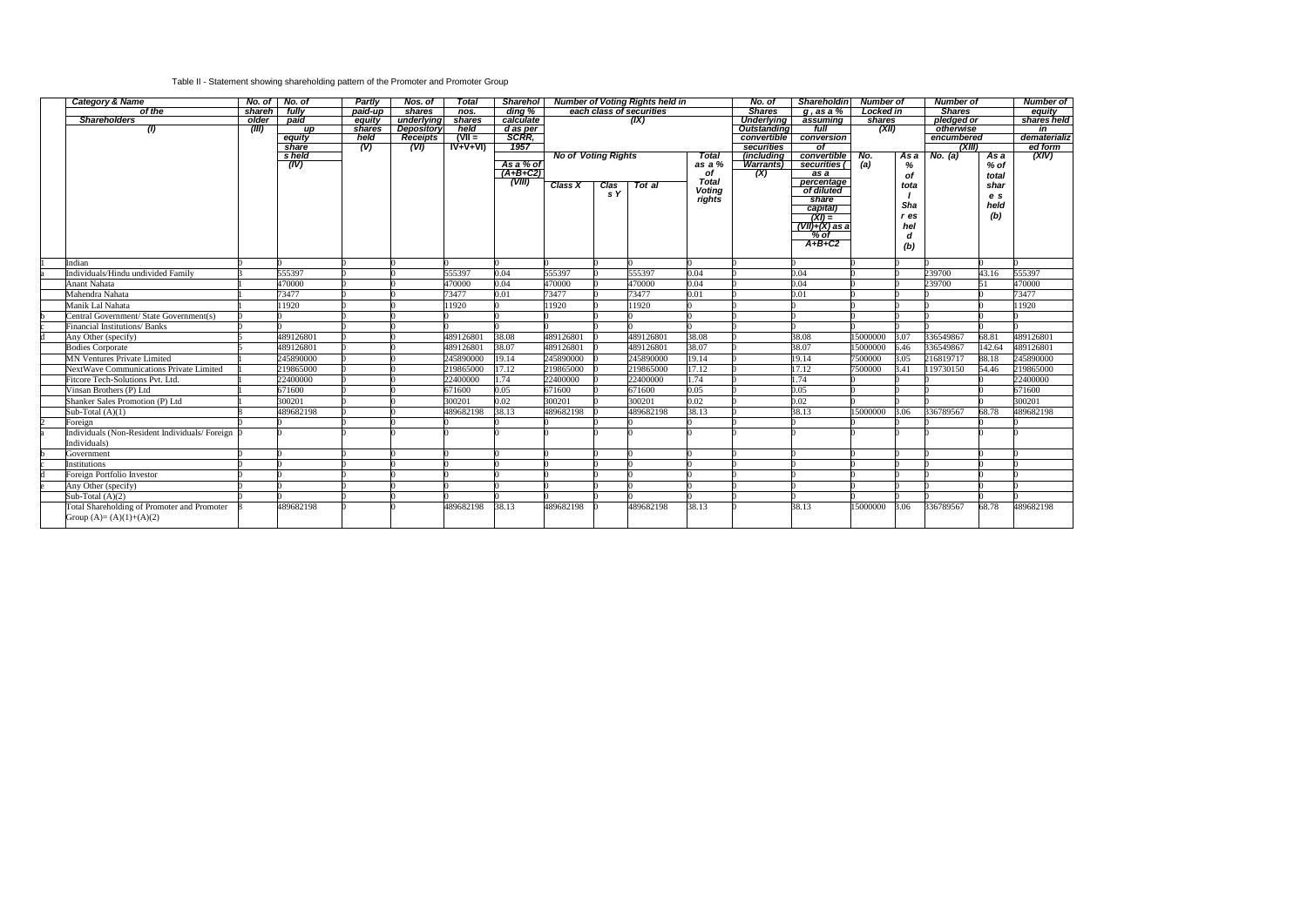## Table II - Statement showing shareholding pattern of the Promoter and Promoter Group

| each class of securities<br><b>Shares</b><br>of the<br>fullv<br>paid-up<br>dina %<br>Locked in<br>shareh<br>shares<br>$q$ , as a $\%$<br>nos.<br>pledged or<br><b>Shareholders</b><br>older<br>underlying<br>calculate<br><b>Underlying</b><br>paid<br>equity<br>shares<br>(IX)<br>assumina<br>shares<br>(XII)<br><b>Depository</b><br>held<br>$d$ as per<br>otherwise<br>$\left( l\right)$<br>(III)<br>shares<br>Outstanding<br>full<br>up<br>$(VII =$<br>SCRR,<br>held<br>Receipts<br>encumbered<br>equity<br>convertible<br>conversion<br>1957<br>$IV+V+VI$<br>securities<br>share<br>(V)<br>(XIII)<br>(VI)<br>οf<br><b>No of Voting Rights</b><br>s held<br><b>Total</b><br><i>(including</i><br>convertible No.<br>As a<br>No. (a)<br>As a<br>As a % of<br>as a $%$<br>(a)<br>(IV)<br><b>Warrants</b> )<br>securities (<br>%<br>% of<br>$(A+B+C2)$<br>of<br>(X)<br>$\overline{as}$ a<br>of<br>total<br>(VIII)<br><b>Total</b><br>percentage<br><b>Class X</b><br>Clas<br>Tot al<br>shar<br>tota<br><b>Voting</b><br>of diluted<br>s Y<br>e s<br>rights<br>share<br>Sha<br>held<br>capital)<br>(b)<br>$(XI) =$<br>r es<br>$(VII)+(X)$ as a<br>hel<br>$\%$ of<br>d<br>$A+B+C2$<br>(b)<br>Indian<br>555397<br>555397<br>0.04<br>555397<br>555397<br>0.04<br>239700<br>43.16<br>555397<br>Individuals/Hindu undivided Family<br>0.04<br>0.04<br>470000<br>0.04<br>0.04<br>470000<br><b>Anant Nahata</b><br>470000<br>470000<br>470000<br>239700<br>51<br>73477<br>73477<br>73477<br>73477<br>73477<br>Mahendra Nahata<br>0.01<br>0.01<br>0.01<br>Manik Lal Nahata<br>11920<br>11920<br>11920<br>11920<br>11920<br>Central Government/ State Government(s)<br>Financial Institutions/Banks<br>489126801<br>489126801<br>489126801<br>489126801<br>38.08<br>38.08<br>3.07<br>336549867<br>68.81<br>489126801<br>Any Other (specify)<br>38.08<br>15000000<br>38.07<br>489126801<br>38.07<br>489126801<br>489126801<br>38.07<br>15000000<br>336549867<br>142.64<br>489126801<br><b>Bodies Corporate</b><br>489126801<br>6.46<br>19.14<br>19.14<br><b>MN Ventures Private Limited</b><br>245890000<br>245890000<br>245890000<br>7500000<br>3.05<br>216819717<br>88.18<br>245890000<br>19.14<br>17.12<br>NextWave Communications Private Limited<br>219865000<br>219865000<br>17.12<br>219865000<br>219865000<br>17.12<br>7500000<br>3.41<br>119730150<br>54.46<br>22400000<br>1.74<br>22400000<br>22400000<br>22400000<br>1.74<br>22400000<br>l.74<br>Fitcore Tech-Solutions Pvt. Ltd.<br>0.05<br>671600<br>0.05<br>671600<br>Vinsan Brothers (P) Ltd<br>671600<br>671600<br>0.05<br>671600<br>0.02<br>0.02<br>300201<br>300201<br>300201<br>300201<br>300201<br>0.02<br>Shanker Sales Promotion (P) Ltd<br>Sub-Total $(A)(1)$<br>489682198<br>38.13<br>489682198<br>489682198<br>38.13<br>38.13<br>15000000<br>489682198<br>3.06<br>336789567<br>68.78<br>Foreign<br>Individuals (Non-Resident Individuals/Foreign<br>Individuals)<br>Government<br>Institutions<br>Foreign Portfolio Investor<br>Any Other (specify)<br>Sub-Total $(A)(2)$ | <b>Category &amp; Name</b>                  | $No. of \blacksquare No. of$ | Partly | Nos. of | <b>Total</b> |       | Sharehol Number of Voting Rights held in |  |           | No. of        | Shareholdin Number of |          | <b>Number of</b> |           | <b>Number of</b> |                  |
|------------------------------------------------------------------------------------------------------------------------------------------------------------------------------------------------------------------------------------------------------------------------------------------------------------------------------------------------------------------------------------------------------------------------------------------------------------------------------------------------------------------------------------------------------------------------------------------------------------------------------------------------------------------------------------------------------------------------------------------------------------------------------------------------------------------------------------------------------------------------------------------------------------------------------------------------------------------------------------------------------------------------------------------------------------------------------------------------------------------------------------------------------------------------------------------------------------------------------------------------------------------------------------------------------------------------------------------------------------------------------------------------------------------------------------------------------------------------------------------------------------------------------------------------------------------------------------------------------------------------------------------------------------------------------------------------------------------------------------------------------------------------------------------------------------------------------------------------------------------------------------------------------------------------------------------------------------------------------------------------------------------------------------------------------------------------------------------------------------------------------------------------------------------------------------------------------------------------------------------------------------------------------------------------------------------------------------------------------------------------------------------------------------------------------------------------------------------------------------------------------------------------------------------------------------------------------------------------------------------------------------------------------------------------------------------------------------------------------------------------------------------------------------------------------------------------------------------------------------------------------------------------------------------------------------------------------------------------------------------------------------------------------------------|---------------------------------------------|------------------------------|--------|---------|--------------|-------|------------------------------------------|--|-----------|---------------|-----------------------|----------|------------------|-----------|------------------|------------------|
|                                                                                                                                                                                                                                                                                                                                                                                                                                                                                                                                                                                                                                                                                                                                                                                                                                                                                                                                                                                                                                                                                                                                                                                                                                                                                                                                                                                                                                                                                                                                                                                                                                                                                                                                                                                                                                                                                                                                                                                                                                                                                                                                                                                                                                                                                                                                                                                                                                                                                                                                                                                                                                                                                                                                                                                                                                                                                                                                                                                                                                          |                                             |                              |        |         |              |       |                                          |  |           | <b>Shares</b> |                       |          |                  |           | equity           |                  |
|                                                                                                                                                                                                                                                                                                                                                                                                                                                                                                                                                                                                                                                                                                                                                                                                                                                                                                                                                                                                                                                                                                                                                                                                                                                                                                                                                                                                                                                                                                                                                                                                                                                                                                                                                                                                                                                                                                                                                                                                                                                                                                                                                                                                                                                                                                                                                                                                                                                                                                                                                                                                                                                                                                                                                                                                                                                                                                                                                                                                                                          |                                             |                              |        |         |              |       |                                          |  |           |               |                       |          |                  |           | shares held      |                  |
|                                                                                                                                                                                                                                                                                                                                                                                                                                                                                                                                                                                                                                                                                                                                                                                                                                                                                                                                                                                                                                                                                                                                                                                                                                                                                                                                                                                                                                                                                                                                                                                                                                                                                                                                                                                                                                                                                                                                                                                                                                                                                                                                                                                                                                                                                                                                                                                                                                                                                                                                                                                                                                                                                                                                                                                                                                                                                                                                                                                                                                          |                                             |                              |        |         |              |       |                                          |  |           |               |                       |          |                  |           | in               |                  |
|                                                                                                                                                                                                                                                                                                                                                                                                                                                                                                                                                                                                                                                                                                                                                                                                                                                                                                                                                                                                                                                                                                                                                                                                                                                                                                                                                                                                                                                                                                                                                                                                                                                                                                                                                                                                                                                                                                                                                                                                                                                                                                                                                                                                                                                                                                                                                                                                                                                                                                                                                                                                                                                                                                                                                                                                                                                                                                                                                                                                                                          |                                             |                              |        |         |              |       |                                          |  |           |               |                       |          |                  |           |                  | dematerializ     |
|                                                                                                                                                                                                                                                                                                                                                                                                                                                                                                                                                                                                                                                                                                                                                                                                                                                                                                                                                                                                                                                                                                                                                                                                                                                                                                                                                                                                                                                                                                                                                                                                                                                                                                                                                                                                                                                                                                                                                                                                                                                                                                                                                                                                                                                                                                                                                                                                                                                                                                                                                                                                                                                                                                                                                                                                                                                                                                                                                                                                                                          |                                             |                              |        |         |              |       |                                          |  |           |               |                       |          |                  |           |                  | ed form<br>(XIV) |
|                                                                                                                                                                                                                                                                                                                                                                                                                                                                                                                                                                                                                                                                                                                                                                                                                                                                                                                                                                                                                                                                                                                                                                                                                                                                                                                                                                                                                                                                                                                                                                                                                                                                                                                                                                                                                                                                                                                                                                                                                                                                                                                                                                                                                                                                                                                                                                                                                                                                                                                                                                                                                                                                                                                                                                                                                                                                                                                                                                                                                                          |                                             |                              |        |         |              |       |                                          |  |           |               |                       |          |                  |           |                  |                  |
|                                                                                                                                                                                                                                                                                                                                                                                                                                                                                                                                                                                                                                                                                                                                                                                                                                                                                                                                                                                                                                                                                                                                                                                                                                                                                                                                                                                                                                                                                                                                                                                                                                                                                                                                                                                                                                                                                                                                                                                                                                                                                                                                                                                                                                                                                                                                                                                                                                                                                                                                                                                                                                                                                                                                                                                                                                                                                                                                                                                                                                          |                                             |                              |        |         |              |       |                                          |  |           |               |                       |          |                  |           |                  |                  |
|                                                                                                                                                                                                                                                                                                                                                                                                                                                                                                                                                                                                                                                                                                                                                                                                                                                                                                                                                                                                                                                                                                                                                                                                                                                                                                                                                                                                                                                                                                                                                                                                                                                                                                                                                                                                                                                                                                                                                                                                                                                                                                                                                                                                                                                                                                                                                                                                                                                                                                                                                                                                                                                                                                                                                                                                                                                                                                                                                                                                                                          |                                             |                              |        |         |              |       |                                          |  |           |               |                       |          |                  |           |                  |                  |
|                                                                                                                                                                                                                                                                                                                                                                                                                                                                                                                                                                                                                                                                                                                                                                                                                                                                                                                                                                                                                                                                                                                                                                                                                                                                                                                                                                                                                                                                                                                                                                                                                                                                                                                                                                                                                                                                                                                                                                                                                                                                                                                                                                                                                                                                                                                                                                                                                                                                                                                                                                                                                                                                                                                                                                                                                                                                                                                                                                                                                                          |                                             |                              |        |         |              |       |                                          |  |           |               |                       |          |                  |           |                  |                  |
|                                                                                                                                                                                                                                                                                                                                                                                                                                                                                                                                                                                                                                                                                                                                                                                                                                                                                                                                                                                                                                                                                                                                                                                                                                                                                                                                                                                                                                                                                                                                                                                                                                                                                                                                                                                                                                                                                                                                                                                                                                                                                                                                                                                                                                                                                                                                                                                                                                                                                                                                                                                                                                                                                                                                                                                                                                                                                                                                                                                                                                          |                                             |                              |        |         |              |       |                                          |  |           |               |                       |          |                  |           |                  |                  |
|                                                                                                                                                                                                                                                                                                                                                                                                                                                                                                                                                                                                                                                                                                                                                                                                                                                                                                                                                                                                                                                                                                                                                                                                                                                                                                                                                                                                                                                                                                                                                                                                                                                                                                                                                                                                                                                                                                                                                                                                                                                                                                                                                                                                                                                                                                                                                                                                                                                                                                                                                                                                                                                                                                                                                                                                                                                                                                                                                                                                                                          |                                             |                              |        |         |              |       |                                          |  |           |               |                       |          |                  |           |                  |                  |
|                                                                                                                                                                                                                                                                                                                                                                                                                                                                                                                                                                                                                                                                                                                                                                                                                                                                                                                                                                                                                                                                                                                                                                                                                                                                                                                                                                                                                                                                                                                                                                                                                                                                                                                                                                                                                                                                                                                                                                                                                                                                                                                                                                                                                                                                                                                                                                                                                                                                                                                                                                                                                                                                                                                                                                                                                                                                                                                                                                                                                                          |                                             |                              |        |         |              |       |                                          |  |           |               |                       |          |                  |           |                  |                  |
|                                                                                                                                                                                                                                                                                                                                                                                                                                                                                                                                                                                                                                                                                                                                                                                                                                                                                                                                                                                                                                                                                                                                                                                                                                                                                                                                                                                                                                                                                                                                                                                                                                                                                                                                                                                                                                                                                                                                                                                                                                                                                                                                                                                                                                                                                                                                                                                                                                                                                                                                                                                                                                                                                                                                                                                                                                                                                                                                                                                                                                          |                                             |                              |        |         |              |       |                                          |  |           |               |                       |          |                  |           |                  |                  |
|                                                                                                                                                                                                                                                                                                                                                                                                                                                                                                                                                                                                                                                                                                                                                                                                                                                                                                                                                                                                                                                                                                                                                                                                                                                                                                                                                                                                                                                                                                                                                                                                                                                                                                                                                                                                                                                                                                                                                                                                                                                                                                                                                                                                                                                                                                                                                                                                                                                                                                                                                                                                                                                                                                                                                                                                                                                                                                                                                                                                                                          |                                             |                              |        |         |              |       |                                          |  |           |               |                       |          |                  |           |                  |                  |
|                                                                                                                                                                                                                                                                                                                                                                                                                                                                                                                                                                                                                                                                                                                                                                                                                                                                                                                                                                                                                                                                                                                                                                                                                                                                                                                                                                                                                                                                                                                                                                                                                                                                                                                                                                                                                                                                                                                                                                                                                                                                                                                                                                                                                                                                                                                                                                                                                                                                                                                                                                                                                                                                                                                                                                                                                                                                                                                                                                                                                                          |                                             |                              |        |         |              |       |                                          |  |           |               |                       |          |                  |           |                  |                  |
|                                                                                                                                                                                                                                                                                                                                                                                                                                                                                                                                                                                                                                                                                                                                                                                                                                                                                                                                                                                                                                                                                                                                                                                                                                                                                                                                                                                                                                                                                                                                                                                                                                                                                                                                                                                                                                                                                                                                                                                                                                                                                                                                                                                                                                                                                                                                                                                                                                                                                                                                                                                                                                                                                                                                                                                                                                                                                                                                                                                                                                          |                                             |                              |        |         |              |       |                                          |  |           |               |                       |          |                  |           |                  |                  |
|                                                                                                                                                                                                                                                                                                                                                                                                                                                                                                                                                                                                                                                                                                                                                                                                                                                                                                                                                                                                                                                                                                                                                                                                                                                                                                                                                                                                                                                                                                                                                                                                                                                                                                                                                                                                                                                                                                                                                                                                                                                                                                                                                                                                                                                                                                                                                                                                                                                                                                                                                                                                                                                                                                                                                                                                                                                                                                                                                                                                                                          |                                             |                              |        |         |              |       |                                          |  |           |               |                       |          |                  |           |                  |                  |
|                                                                                                                                                                                                                                                                                                                                                                                                                                                                                                                                                                                                                                                                                                                                                                                                                                                                                                                                                                                                                                                                                                                                                                                                                                                                                                                                                                                                                                                                                                                                                                                                                                                                                                                                                                                                                                                                                                                                                                                                                                                                                                                                                                                                                                                                                                                                                                                                                                                                                                                                                                                                                                                                                                                                                                                                                                                                                                                                                                                                                                          |                                             |                              |        |         |              |       |                                          |  |           |               |                       |          |                  |           |                  |                  |
|                                                                                                                                                                                                                                                                                                                                                                                                                                                                                                                                                                                                                                                                                                                                                                                                                                                                                                                                                                                                                                                                                                                                                                                                                                                                                                                                                                                                                                                                                                                                                                                                                                                                                                                                                                                                                                                                                                                                                                                                                                                                                                                                                                                                                                                                                                                                                                                                                                                                                                                                                                                                                                                                                                                                                                                                                                                                                                                                                                                                                                          |                                             |                              |        |         |              |       |                                          |  |           |               |                       |          |                  |           |                  |                  |
|                                                                                                                                                                                                                                                                                                                                                                                                                                                                                                                                                                                                                                                                                                                                                                                                                                                                                                                                                                                                                                                                                                                                                                                                                                                                                                                                                                                                                                                                                                                                                                                                                                                                                                                                                                                                                                                                                                                                                                                                                                                                                                                                                                                                                                                                                                                                                                                                                                                                                                                                                                                                                                                                                                                                                                                                                                                                                                                                                                                                                                          |                                             |                              |        |         |              |       |                                          |  |           |               |                       |          |                  |           |                  |                  |
|                                                                                                                                                                                                                                                                                                                                                                                                                                                                                                                                                                                                                                                                                                                                                                                                                                                                                                                                                                                                                                                                                                                                                                                                                                                                                                                                                                                                                                                                                                                                                                                                                                                                                                                                                                                                                                                                                                                                                                                                                                                                                                                                                                                                                                                                                                                                                                                                                                                                                                                                                                                                                                                                                                                                                                                                                                                                                                                                                                                                                                          |                                             |                              |        |         |              |       |                                          |  |           |               |                       |          |                  |           |                  |                  |
|                                                                                                                                                                                                                                                                                                                                                                                                                                                                                                                                                                                                                                                                                                                                                                                                                                                                                                                                                                                                                                                                                                                                                                                                                                                                                                                                                                                                                                                                                                                                                                                                                                                                                                                                                                                                                                                                                                                                                                                                                                                                                                                                                                                                                                                                                                                                                                                                                                                                                                                                                                                                                                                                                                                                                                                                                                                                                                                                                                                                                                          |                                             |                              |        |         |              |       |                                          |  |           |               |                       |          |                  |           |                  |                  |
|                                                                                                                                                                                                                                                                                                                                                                                                                                                                                                                                                                                                                                                                                                                                                                                                                                                                                                                                                                                                                                                                                                                                                                                                                                                                                                                                                                                                                                                                                                                                                                                                                                                                                                                                                                                                                                                                                                                                                                                                                                                                                                                                                                                                                                                                                                                                                                                                                                                                                                                                                                                                                                                                                                                                                                                                                                                                                                                                                                                                                                          |                                             |                              |        |         |              |       |                                          |  |           |               |                       |          |                  |           |                  |                  |
|                                                                                                                                                                                                                                                                                                                                                                                                                                                                                                                                                                                                                                                                                                                                                                                                                                                                                                                                                                                                                                                                                                                                                                                                                                                                                                                                                                                                                                                                                                                                                                                                                                                                                                                                                                                                                                                                                                                                                                                                                                                                                                                                                                                                                                                                                                                                                                                                                                                                                                                                                                                                                                                                                                                                                                                                                                                                                                                                                                                                                                          |                                             |                              |        |         |              |       |                                          |  |           |               |                       |          |                  |           |                  | 245890000        |
|                                                                                                                                                                                                                                                                                                                                                                                                                                                                                                                                                                                                                                                                                                                                                                                                                                                                                                                                                                                                                                                                                                                                                                                                                                                                                                                                                                                                                                                                                                                                                                                                                                                                                                                                                                                                                                                                                                                                                                                                                                                                                                                                                                                                                                                                                                                                                                                                                                                                                                                                                                                                                                                                                                                                                                                                                                                                                                                                                                                                                                          |                                             |                              |        |         |              |       |                                          |  |           |               |                       |          |                  |           |                  | 219865000        |
|                                                                                                                                                                                                                                                                                                                                                                                                                                                                                                                                                                                                                                                                                                                                                                                                                                                                                                                                                                                                                                                                                                                                                                                                                                                                                                                                                                                                                                                                                                                                                                                                                                                                                                                                                                                                                                                                                                                                                                                                                                                                                                                                                                                                                                                                                                                                                                                                                                                                                                                                                                                                                                                                                                                                                                                                                                                                                                                                                                                                                                          |                                             |                              |        |         |              |       |                                          |  |           |               |                       |          |                  |           |                  |                  |
|                                                                                                                                                                                                                                                                                                                                                                                                                                                                                                                                                                                                                                                                                                                                                                                                                                                                                                                                                                                                                                                                                                                                                                                                                                                                                                                                                                                                                                                                                                                                                                                                                                                                                                                                                                                                                                                                                                                                                                                                                                                                                                                                                                                                                                                                                                                                                                                                                                                                                                                                                                                                                                                                                                                                                                                                                                                                                                                                                                                                                                          |                                             |                              |        |         |              |       |                                          |  |           |               |                       |          |                  |           |                  |                  |
|                                                                                                                                                                                                                                                                                                                                                                                                                                                                                                                                                                                                                                                                                                                                                                                                                                                                                                                                                                                                                                                                                                                                                                                                                                                                                                                                                                                                                                                                                                                                                                                                                                                                                                                                                                                                                                                                                                                                                                                                                                                                                                                                                                                                                                                                                                                                                                                                                                                                                                                                                                                                                                                                                                                                                                                                                                                                                                                                                                                                                                          |                                             |                              |        |         |              |       |                                          |  |           |               |                       |          |                  |           |                  |                  |
|                                                                                                                                                                                                                                                                                                                                                                                                                                                                                                                                                                                                                                                                                                                                                                                                                                                                                                                                                                                                                                                                                                                                                                                                                                                                                                                                                                                                                                                                                                                                                                                                                                                                                                                                                                                                                                                                                                                                                                                                                                                                                                                                                                                                                                                                                                                                                                                                                                                                                                                                                                                                                                                                                                                                                                                                                                                                                                                                                                                                                                          |                                             |                              |        |         |              |       |                                          |  |           |               |                       |          |                  |           |                  | 489682198        |
|                                                                                                                                                                                                                                                                                                                                                                                                                                                                                                                                                                                                                                                                                                                                                                                                                                                                                                                                                                                                                                                                                                                                                                                                                                                                                                                                                                                                                                                                                                                                                                                                                                                                                                                                                                                                                                                                                                                                                                                                                                                                                                                                                                                                                                                                                                                                                                                                                                                                                                                                                                                                                                                                                                                                                                                                                                                                                                                                                                                                                                          |                                             |                              |        |         |              |       |                                          |  |           |               |                       |          |                  |           |                  |                  |
|                                                                                                                                                                                                                                                                                                                                                                                                                                                                                                                                                                                                                                                                                                                                                                                                                                                                                                                                                                                                                                                                                                                                                                                                                                                                                                                                                                                                                                                                                                                                                                                                                                                                                                                                                                                                                                                                                                                                                                                                                                                                                                                                                                                                                                                                                                                                                                                                                                                                                                                                                                                                                                                                                                                                                                                                                                                                                                                                                                                                                                          |                                             |                              |        |         |              |       |                                          |  |           |               |                       |          |                  |           |                  |                  |
|                                                                                                                                                                                                                                                                                                                                                                                                                                                                                                                                                                                                                                                                                                                                                                                                                                                                                                                                                                                                                                                                                                                                                                                                                                                                                                                                                                                                                                                                                                                                                                                                                                                                                                                                                                                                                                                                                                                                                                                                                                                                                                                                                                                                                                                                                                                                                                                                                                                                                                                                                                                                                                                                                                                                                                                                                                                                                                                                                                                                                                          |                                             |                              |        |         |              |       |                                          |  |           |               |                       |          |                  |           |                  |                  |
|                                                                                                                                                                                                                                                                                                                                                                                                                                                                                                                                                                                                                                                                                                                                                                                                                                                                                                                                                                                                                                                                                                                                                                                                                                                                                                                                                                                                                                                                                                                                                                                                                                                                                                                                                                                                                                                                                                                                                                                                                                                                                                                                                                                                                                                                                                                                                                                                                                                                                                                                                                                                                                                                                                                                                                                                                                                                                                                                                                                                                                          |                                             |                              |        |         |              |       |                                          |  |           |               |                       |          |                  |           |                  |                  |
|                                                                                                                                                                                                                                                                                                                                                                                                                                                                                                                                                                                                                                                                                                                                                                                                                                                                                                                                                                                                                                                                                                                                                                                                                                                                                                                                                                                                                                                                                                                                                                                                                                                                                                                                                                                                                                                                                                                                                                                                                                                                                                                                                                                                                                                                                                                                                                                                                                                                                                                                                                                                                                                                                                                                                                                                                                                                                                                                                                                                                                          |                                             |                              |        |         |              |       |                                          |  |           |               |                       |          |                  |           |                  |                  |
|                                                                                                                                                                                                                                                                                                                                                                                                                                                                                                                                                                                                                                                                                                                                                                                                                                                                                                                                                                                                                                                                                                                                                                                                                                                                                                                                                                                                                                                                                                                                                                                                                                                                                                                                                                                                                                                                                                                                                                                                                                                                                                                                                                                                                                                                                                                                                                                                                                                                                                                                                                                                                                                                                                                                                                                                                                                                                                                                                                                                                                          |                                             |                              |        |         |              |       |                                          |  |           |               |                       |          |                  |           |                  |                  |
|                                                                                                                                                                                                                                                                                                                                                                                                                                                                                                                                                                                                                                                                                                                                                                                                                                                                                                                                                                                                                                                                                                                                                                                                                                                                                                                                                                                                                                                                                                                                                                                                                                                                                                                                                                                                                                                                                                                                                                                                                                                                                                                                                                                                                                                                                                                                                                                                                                                                                                                                                                                                                                                                                                                                                                                                                                                                                                                                                                                                                                          |                                             |                              |        |         |              |       |                                          |  |           |               |                       |          |                  |           |                  |                  |
|                                                                                                                                                                                                                                                                                                                                                                                                                                                                                                                                                                                                                                                                                                                                                                                                                                                                                                                                                                                                                                                                                                                                                                                                                                                                                                                                                                                                                                                                                                                                                                                                                                                                                                                                                                                                                                                                                                                                                                                                                                                                                                                                                                                                                                                                                                                                                                                                                                                                                                                                                                                                                                                                                                                                                                                                                                                                                                                                                                                                                                          |                                             |                              |        |         |              |       |                                          |  |           |               |                       |          |                  |           |                  |                  |
| 38.13                                                                                                                                                                                                                                                                                                                                                                                                                                                                                                                                                                                                                                                                                                                                                                                                                                                                                                                                                                                                                                                                                                                                                                                                                                                                                                                                                                                                                                                                                                                                                                                                                                                                                                                                                                                                                                                                                                                                                                                                                                                                                                                                                                                                                                                                                                                                                                                                                                                                                                                                                                                                                                                                                                                                                                                                                                                                                                                                                                                                                                    | Total Shareholding of Promoter and Promoter | 489682198                    |        |         | 489682198    | 38.13 | 489682198                                |  | 489682198 | 38.13         |                       | 15000000 | 3.06             | 336789567 | 68.78            | 489682198        |
| Group $(A)=(A)(1)+(A)(2)$                                                                                                                                                                                                                                                                                                                                                                                                                                                                                                                                                                                                                                                                                                                                                                                                                                                                                                                                                                                                                                                                                                                                                                                                                                                                                                                                                                                                                                                                                                                                                                                                                                                                                                                                                                                                                                                                                                                                                                                                                                                                                                                                                                                                                                                                                                                                                                                                                                                                                                                                                                                                                                                                                                                                                                                                                                                                                                                                                                                                                |                                             |                              |        |         |              |       |                                          |  |           |               |                       |          |                  |           |                  |                  |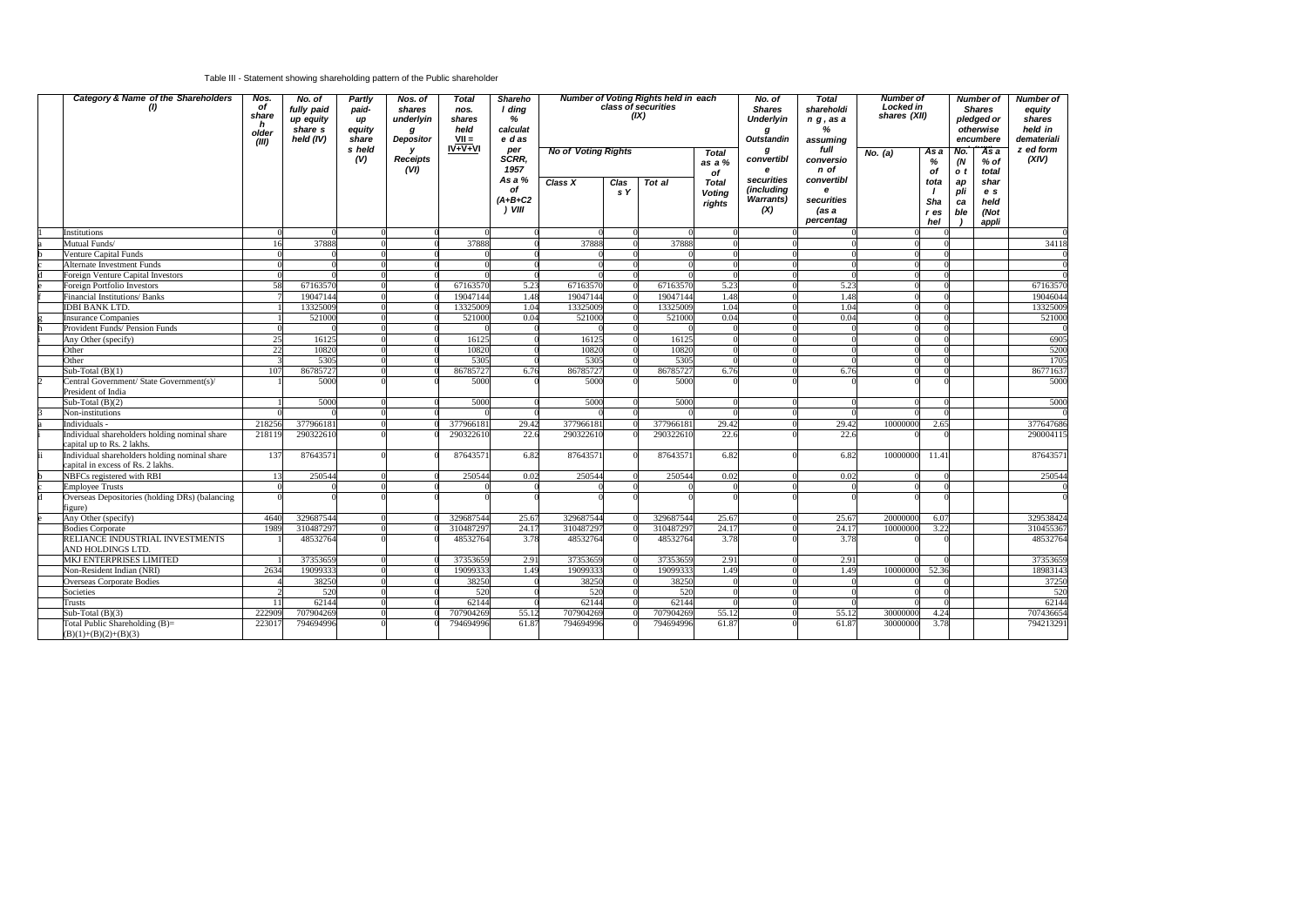## Table III - Statement showing shareholding pattern of the Public shareholder

| Category & Name of the Shareholders<br>(1)                                         | Nos.<br>of<br>share<br>h<br>older<br>(III) | No. of<br>fully paid<br>up equity<br>share s<br>held (IV) | <b>Partly</b><br>paid-<br>up<br>equity<br>share<br>s held | Nos. of<br>shares<br>underlyin<br>g<br>Depositor | <b>Total</b><br>nos.<br>shares<br>held<br>$VII =$<br>$IV + V + VI$ | <b>Shareho</b><br>I ding<br>%<br>calculat<br>e das |                            |             | <b>Number of Voting Rights held in each</b><br>class of securities<br>(IX) |                                         | No. of<br><b>Shares</b><br><b>Underlyin</b><br>g<br><b>Outstandin</b> | <b>Total</b><br>shareholdi<br>$n$ g, as a<br>%<br>assuming<br>full | <b>Number of</b><br>Locked in<br>shares (XII) |                            |                        | <b>Number of</b><br><b>Shares</b><br>pledged or<br>otherwise<br>encumbere | Number of<br>equity<br>shares<br>held in<br>demateriali<br>z ed form |
|------------------------------------------------------------------------------------|--------------------------------------------|-----------------------------------------------------------|-----------------------------------------------------------|--------------------------------------------------|--------------------------------------------------------------------|----------------------------------------------------|----------------------------|-------------|----------------------------------------------------------------------------|-----------------------------------------|-----------------------------------------------------------------------|--------------------------------------------------------------------|-----------------------------------------------|----------------------------|------------------------|---------------------------------------------------------------------------|----------------------------------------------------------------------|
|                                                                                    |                                            |                                                           | (V)                                                       | y<br><b>Receipts</b><br>(VI)                     |                                                                    | per<br>SCRR,<br>1957                               | <b>No of Voting Rights</b> |             |                                                                            | <b>Total</b><br>as a %<br>of            | g<br>convertibl<br>e                                                  | conversio<br>n of                                                  | No. $(a)$                                     | As a<br>%<br>of            | No.<br>(N)<br>o t      | As a<br>$%$ of<br>total                                                   | (XIV)                                                                |
|                                                                                    |                                            |                                                           |                                                           |                                                  |                                                                    | As a %<br>of<br>$(A+B+C2$<br>$)$ VIII              | Class X                    | Clas<br>s Y | Tot al                                                                     | <b>Total</b><br><b>Voting</b><br>rights | securities<br>(including<br><b>Warrants</b> )<br>(X)                  | convertibl<br>$\mathbf{e}$<br>securities<br>(as a<br>percentag     |                                               | tota<br>Sha<br>r es<br>hel | ap<br>pli<br>ca<br>ble | shar<br>e s<br>held<br>(Not<br>appli                                      |                                                                      |
| Institutions                                                                       |                                            |                                                           |                                                           |                                                  |                                                                    |                                                    |                            |             |                                                                            |                                         |                                                                       |                                                                    |                                               |                            |                        |                                                                           |                                                                      |
| Mutual Funds/                                                                      | 16                                         | 37888                                                     |                                                           |                                                  | 37888                                                              |                                                    | 37888                      |             | 37888                                                                      |                                         |                                                                       |                                                                    |                                               |                            |                        |                                                                           | 34118                                                                |
| Venture Capital Funds                                                              |                                            |                                                           |                                                           |                                                  |                                                                    |                                                    |                            |             |                                                                            |                                         |                                                                       |                                                                    |                                               |                            |                        |                                                                           |                                                                      |
| Alternate Investment Funds                                                         |                                            |                                                           |                                                           |                                                  |                                                                    |                                                    |                            |             |                                                                            |                                         |                                                                       |                                                                    |                                               |                            |                        |                                                                           |                                                                      |
| Foreign Venture Capital Investors                                                  |                                            |                                                           |                                                           |                                                  |                                                                    |                                                    |                            |             |                                                                            |                                         |                                                                       |                                                                    |                                               |                            |                        |                                                                           |                                                                      |
| Foreign Portfolio Investors                                                        | 58                                         | 67163570                                                  |                                                           |                                                  | 67163570                                                           | 5.23                                               | 67163570                   |             | 67163570                                                                   | 5.23                                    |                                                                       | 5.23                                                               |                                               |                            |                        |                                                                           | 67163570                                                             |
| <b>Financial Institutions/ Banks</b>                                               |                                            | 19047144                                                  |                                                           |                                                  | 19047144                                                           | 1.48                                               | 19047144                   |             | 19047144                                                                   | 1.48                                    |                                                                       | 1.48                                                               |                                               |                            |                        |                                                                           | 19046044                                                             |
| <b>IDBI BANK LTD.</b>                                                              |                                            | 13325009                                                  |                                                           |                                                  | 13325009                                                           | 1.04                                               | 13325009                   |             | 13325009                                                                   | 1.04                                    |                                                                       | 1.04                                                               |                                               |                            |                        |                                                                           | 13325009                                                             |
| <b>Insurance Companies</b>                                                         |                                            | 521000                                                    |                                                           |                                                  | 521000                                                             | 0.04                                               | 521000                     |             | 521000                                                                     | 0.04                                    |                                                                       | 0.04                                                               |                                               |                            |                        |                                                                           | 521000                                                               |
| Provident Funds/ Pension Funds                                                     |                                            |                                                           |                                                           |                                                  |                                                                    |                                                    |                            |             |                                                                            |                                         |                                                                       |                                                                    |                                               |                            |                        |                                                                           |                                                                      |
| Any Other (specify)                                                                | 25                                         | 16125                                                     |                                                           |                                                  | 16125                                                              |                                                    | 16125                      |             | 16125                                                                      |                                         |                                                                       |                                                                    |                                               |                            |                        |                                                                           | 6905                                                                 |
| Other                                                                              | 22                                         | 10820                                                     |                                                           |                                                  | 10820                                                              |                                                    | 10820                      |             | 10820                                                                      |                                         |                                                                       |                                                                    |                                               |                            |                        |                                                                           | 5200                                                                 |
| Other                                                                              |                                            | 5305                                                      |                                                           |                                                  | 5305                                                               |                                                    | 5305                       |             | 5305                                                                       |                                         |                                                                       |                                                                    |                                               |                            |                        |                                                                           | 1705                                                                 |
| Sub-Total $(B)(1)$                                                                 | 107                                        | 86785727                                                  |                                                           |                                                  | 86785727                                                           | 6.76                                               | 8678572                    |             | 8678572                                                                    | 6.76                                    |                                                                       | 6.76                                                               |                                               |                            |                        |                                                                           | 86771637                                                             |
| Central Government/ State Government(s)/<br>President of India                     |                                            | 5000                                                      |                                                           |                                                  | 5000                                                               |                                                    | 5000                       |             | 5000                                                                       |                                         |                                                                       |                                                                    |                                               |                            |                        |                                                                           | 5000                                                                 |
| Sub-Total $(B)(2)$                                                                 |                                            | 5000                                                      |                                                           |                                                  | 5000                                                               |                                                    | 5000                       |             | 5000                                                                       |                                         |                                                                       |                                                                    |                                               |                            |                        |                                                                           | 5000                                                                 |
| Non-institutions                                                                   |                                            |                                                           |                                                           |                                                  |                                                                    |                                                    |                            |             |                                                                            |                                         |                                                                       |                                                                    |                                               |                            |                        |                                                                           |                                                                      |
| Individuals -                                                                      | 218256                                     | 377966181                                                 |                                                           |                                                  | 377966181                                                          | 29.42                                              | 37796618                   |             | 37796618                                                                   | 29.42                                   |                                                                       | 29.42                                                              | 10000000                                      | 2.65                       |                        |                                                                           | 377647686                                                            |
| Individual shareholders holding nominal share<br>capital up to Rs. 2 lakhs.        | 218119                                     | 290322610                                                 |                                                           |                                                  | 290322610                                                          | 22.6                                               | 290322610                  |             | 290322610                                                                  | 22.6                                    |                                                                       | 22.6                                                               |                                               |                            |                        |                                                                           | 290004115                                                            |
| Individual shareholders holding nominal share<br>capital in excess of Rs. 2 lakhs. | 137                                        | 87643571                                                  |                                                           |                                                  | 87643571                                                           | 6.82                                               | 8764357                    |             | 87643571                                                                   | 6.82                                    |                                                                       | 6.82                                                               | 10000000                                      | 11.41                      |                        |                                                                           | 87643571                                                             |
| NBFCs registered with RBI                                                          | 13                                         | 250544                                                    |                                                           |                                                  | 250544                                                             | 0.02                                               | 250544                     |             | 250544                                                                     | 0.02                                    |                                                                       | 0.02                                                               |                                               |                            |                        |                                                                           | 250544                                                               |
| <b>Employee Trusts</b>                                                             |                                            |                                                           |                                                           |                                                  |                                                                    |                                                    |                            |             |                                                                            |                                         |                                                                       |                                                                    |                                               |                            |                        |                                                                           |                                                                      |
| Overseas Depositories (holding DRs) (balancing<br>figure)                          |                                            |                                                           |                                                           |                                                  |                                                                    |                                                    |                            |             |                                                                            |                                         |                                                                       |                                                                    |                                               |                            |                        |                                                                           |                                                                      |
| Any Other (specify)                                                                | 4640                                       | 329687544                                                 |                                                           |                                                  | 329687544                                                          | 25.67                                              | 329687544                  |             | 329687544                                                                  | 25.67                                   |                                                                       | 25.67                                                              | 20000000                                      | 6.07                       |                        |                                                                           | 329538424                                                            |
| <b>Bodies Corporate</b>                                                            | 1989                                       | 310487297                                                 |                                                           |                                                  | 310487297                                                          | 24.17                                              | 31048729                   |             | 31048729                                                                   | 24.17                                   |                                                                       | 24.17                                                              | 10000000                                      | 3.22                       |                        |                                                                           | 310455367                                                            |
| RELIANCE INDUSTRIAL INVESTMENTS<br>AND HOLDINGS LTD.                               |                                            | 48532764                                                  |                                                           |                                                  | 48532764                                                           | 3.78                                               | 48532764                   |             | 48532764                                                                   | 3.78                                    |                                                                       | 3.78                                                               |                                               |                            |                        |                                                                           | 48532764                                                             |
| MKJ ENTERPRISES LIMITED                                                            |                                            | 37353659                                                  |                                                           |                                                  | 37353659                                                           | 2.91                                               | 3735365                    |             | 37353659                                                                   | 2.91                                    |                                                                       | 2.91                                                               |                                               |                            |                        |                                                                           | 37353659                                                             |
| Non-Resident Indian (NRI)                                                          | 2634                                       | 19099333                                                  |                                                           |                                                  | 19099333                                                           | 1.49                                               | 1909933                    |             | 1909933                                                                    | 1.49                                    |                                                                       | 1.49                                                               | 10000000                                      | 52.36                      |                        |                                                                           | 18983143                                                             |
| <b>Overseas Corporate Bodies</b>                                                   |                                            | 38250                                                     |                                                           |                                                  | 38250                                                              |                                                    | 38250                      |             | 38250                                                                      |                                         |                                                                       |                                                                    |                                               |                            |                        |                                                                           | 37250                                                                |
| Societies                                                                          |                                            | 520                                                       |                                                           |                                                  | 520                                                                |                                                    | 520                        |             | 520                                                                        |                                         |                                                                       |                                                                    |                                               |                            |                        |                                                                           | 520                                                                  |
| Trusts                                                                             | 11                                         | 62144                                                     |                                                           |                                                  | 62144                                                              |                                                    | 62144                      |             | 62144                                                                      |                                         |                                                                       |                                                                    |                                               |                            |                        |                                                                           | 62144                                                                |
| Sub-Total $(B)(3)$                                                                 | 222909                                     | 707904269                                                 |                                                           |                                                  | 707904269                                                          | 55.12                                              | 707904269                  |             | 707904269                                                                  | 55.12                                   |                                                                       | 55.12                                                              | 30000000                                      | 4.24                       |                        |                                                                           | 707436654                                                            |
| Total Public Shareholding (B)=<br>$(B)(1)+(B)(2)+(B)(3)$                           | 223017                                     | 794694996                                                 |                                                           |                                                  | 794694996                                                          | 61.87                                              | 794694996                  |             | 794694996                                                                  | 61.87                                   |                                                                       | 61.87                                                              | 30000000                                      | 3.78                       |                        |                                                                           | 794213291                                                            |